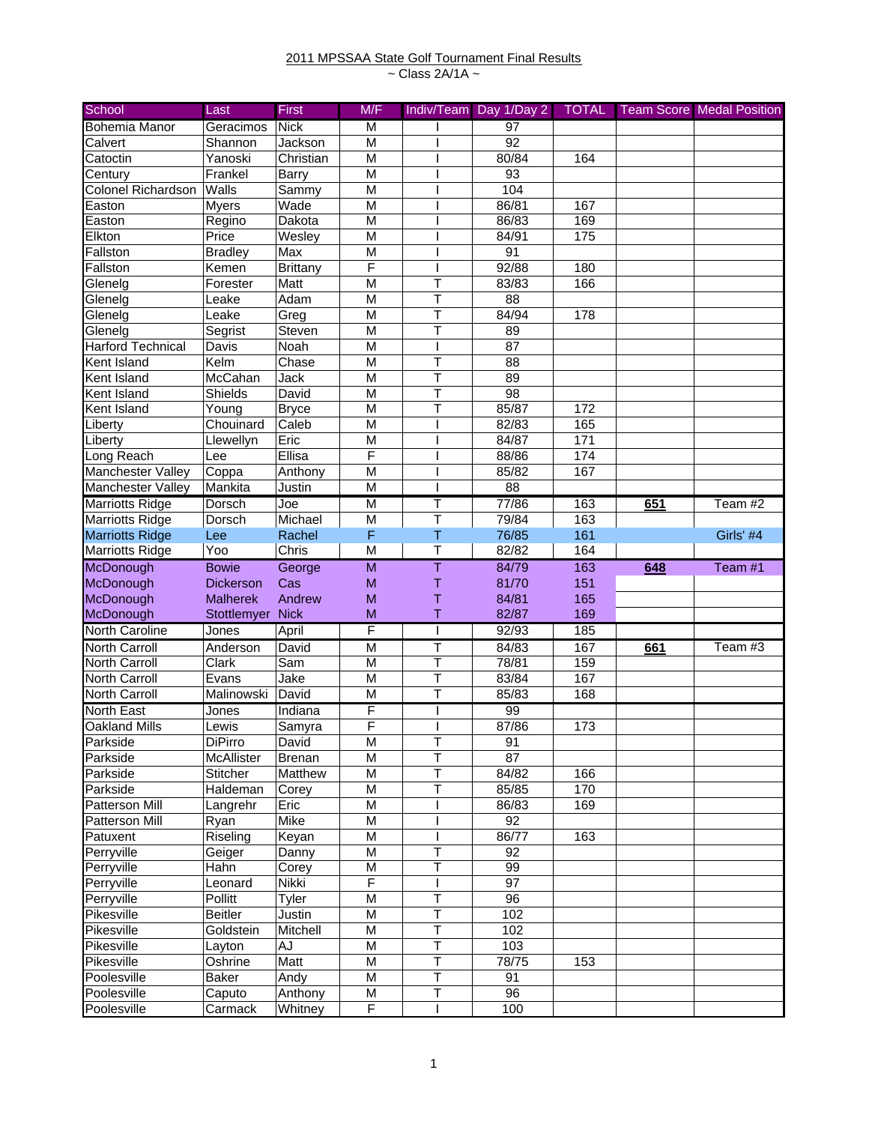## 2011 MPSSAA State Golf Tournament Final Results ~ Class 2A/1A ~

| <b>Bohemia Manor</b><br><b>Nick</b><br>97<br>Geracimos<br>M<br>92<br>Shannon<br>M<br>Jackson<br>Calvert<br>80/84<br>Yanoski<br>M<br>Catoctin<br>Christian<br>164<br>Frankel<br>M<br>93<br>Century<br>Barry<br>Colonel Richardson<br>Walls<br>M<br>104<br>Sammy<br>86/81<br>M<br>167<br><b>Myers</b><br>Wade<br>Easton<br>M<br>86/83<br>169<br>Regino<br>Dakota<br>Easton<br>Elkton<br>M<br>84/91<br>175<br>Price<br>Wesley<br>91<br>Max<br>M<br><b>Bradley</b><br>F<br>92/88<br>Fallston<br><b>Brittany</b><br>180<br>Kemen<br>Glenelg<br>Forester<br>Matt<br>Τ<br>83/83<br>166<br>M<br>T<br>Adam<br>M<br>88<br>Glenelg<br>Leake<br>T<br>84/94<br>M<br>178<br>Glenelg<br>Leake<br>Greg<br>T<br>89<br>M<br>Glenelg<br>Segrist<br>Steven<br>$\overline{87}$<br><b>Harford Technical</b><br>Noah<br>M<br>Davis<br>T<br>Kent Island<br>Kelm<br>Chase<br>M<br>88<br>T<br>Kent Island<br>McCahan<br>Jack<br>M<br>89<br>Shields<br>T<br>98<br>Kent Island<br>David<br>M<br>T<br>85/87<br>M<br>172<br>Kent Island<br>Young<br><b>Bryce</b><br>165<br>82/83<br>Caleb<br>M<br>Liberty<br>Chouinard<br>Eric<br>171<br>M<br>84/87<br>Liberty<br>Llewellyn<br>F<br>Long Reach<br>Lee<br>Ellisa<br>88/86<br>174<br>Coppa<br>Anthony<br>85/82<br>167<br>Manchester Valley<br>M<br>Mankita<br>88<br>Justin<br>M<br>T<br>77/86<br><b>Marriotts Ridge</b><br>Dorsch<br>M<br>163<br>651<br>Team #2<br>Joe<br>$\overline{\mathsf{T}}$<br>M<br>79/84<br>163<br><b>Marriotts Ridge</b><br>Dorsch<br>Michael<br>F<br>$\top$<br><b>Marriotts Ridge</b><br>76/85<br>161<br>Girls' #4<br>Lee<br>Rachel<br>$\overline{\mathsf{T}}$<br>82/82<br><b>Marriotts Ridge</b><br>Yoo<br>Chris<br>M<br>164<br>$\overline{\mathsf{M}}$<br>Ŧ<br>McDonough<br>84/79<br>163<br>648<br>Team #1<br><b>Bowie</b><br>George<br>McDonough<br>Cas<br>T<br>81/70<br>151<br><b>Dickerson</b><br>M<br>McDonough<br>Andrew<br>Τ<br><b>Malherek</b><br>M<br>84/81<br>165<br><b>Nick</b><br>T<br>82/87<br>169<br>McDonough<br>M<br>Stottlemyer<br>F<br><b>North Caroline</b><br>92/93<br>Jones<br>April<br>185<br>T<br><b>North Carroll</b><br>$\overline{\mathsf{M}}$<br>84/83<br>David<br>167<br>661<br>Team #3<br>Anderson<br>T<br>$\overline{\text{Clark}}$<br>Sam<br>78/81<br>159<br>North Carroll<br>M<br>Jake<br>T<br>83/84<br><b>North Carroll</b><br>Evans<br>M<br>167<br>$\overline{\mathsf{T}}$<br>North Carroll<br>Malinowski<br>David<br>M<br>85/83<br>168<br>99<br><b>North East</b><br>F<br>Indiana<br>Jones<br>F<br><b>Oakland Mills</b><br>87/86<br>Samyra<br>173<br>Lewis<br>$\overline{M}$<br>Parkside<br>DiPirro<br>David<br>$\mathbf{I}$<br>91<br>$\top$<br>87<br>M<br>McAllister<br>Parkside<br><b>Brenan</b><br>$\overline{\mathsf{T}}$<br>M<br>84/82<br>166<br>Parkside<br><b>Stitcher</b><br>Matthew<br>$\overline{\mathsf{T}}$<br>170<br>M<br>85/85<br>Parkside<br>Haldeman<br>Corey<br>Patterson Mill<br>Eric<br>M<br>169<br>Langrehr<br>86/83<br>Mike<br>92<br>Patterson Mill<br>M<br>Ryan<br>Riseling<br>Keyan<br>M<br>86/77<br>Patuxent<br>163<br>$\overline{\mathsf{T}}$<br>Perryville<br>M<br>92<br>Geiger<br>Danny<br>T<br>99<br>Perryville<br>M<br>Hahn<br>Corey<br>F<br>97<br>Nikki<br>Perryville<br>Leonard<br>T<br>Perryville<br>Pollitt<br>Tyler<br>M<br>96<br>T<br>Pikesville<br>M<br>102<br><b>Beitler</b><br>Justin<br>Pikesville<br>$\top$<br>Goldstein<br>Mitchell<br>M<br>102<br>Pikesville<br>M<br>Т<br>103<br>AJ<br>Layton<br>T<br>Pikesville<br>Matt<br>M<br>78/75<br>Oshrine<br>153<br>$\overline{\mathsf{T}}$<br>M<br>91<br>Poolesville<br>Baker<br>Andy<br>$\overline{\mathsf{T}}$<br>$\overline{96}$<br>M<br>Poolesville<br>Caputo<br>Anthony | School            | Last    | <b>First</b> | M/F | Indiv/Team Day 1/Day 2 | <b>TOTAL</b> | <b>Team Score Medal Position</b> |
|----------------------------------------------------------------------------------------------------------------------------------------------------------------------------------------------------------------------------------------------------------------------------------------------------------------------------------------------------------------------------------------------------------------------------------------------------------------------------------------------------------------------------------------------------------------------------------------------------------------------------------------------------------------------------------------------------------------------------------------------------------------------------------------------------------------------------------------------------------------------------------------------------------------------------------------------------------------------------------------------------------------------------------------------------------------------------------------------------------------------------------------------------------------------------------------------------------------------------------------------------------------------------------------------------------------------------------------------------------------------------------------------------------------------------------------------------------------------------------------------------------------------------------------------------------------------------------------------------------------------------------------------------------------------------------------------------------------------------------------------------------------------------------------------------------------------------------------------------------------------------------------------------------------------------------------------------------------------------------------------------------------------------------------------------------------------------------------------------------------------------------------------------------------------------------------------------------------------------------------------------------------------------------------------------------------------------------------------------------------------------------------------------------------------------------------------------------------------------------------------------------------------------------------------------------------------------------------------------------------------------------------------------------------------------------------------------------------------------------------------------------------------------------------------------------------------------------------------------------------------------------------------------------------------------------------------------------------------------------------------------------------------------------------------------------------------------------------------------------------------------------------------------------------------------------------------------------------------------------------------------------------------------------------------------------------------------------------------------------------------------------------------------------------------------------------------------------------------------------------------------------------------------------------------------------------------------------------------------------------------------------------------|-------------------|---------|--------------|-----|------------------------|--------------|----------------------------------|
|                                                                                                                                                                                                                                                                                                                                                                                                                                                                                                                                                                                                                                                                                                                                                                                                                                                                                                                                                                                                                                                                                                                                                                                                                                                                                                                                                                                                                                                                                                                                                                                                                                                                                                                                                                                                                                                                                                                                                                                                                                                                                                                                                                                                                                                                                                                                                                                                                                                                                                                                                                                                                                                                                                                                                                                                                                                                                                                                                                                                                                                                                                                                                                                                                                                                                                                                                                                                                                                                                                                                                                                                                                              |                   |         |              |     |                        |              |                                  |
|                                                                                                                                                                                                                                                                                                                                                                                                                                                                                                                                                                                                                                                                                                                                                                                                                                                                                                                                                                                                                                                                                                                                                                                                                                                                                                                                                                                                                                                                                                                                                                                                                                                                                                                                                                                                                                                                                                                                                                                                                                                                                                                                                                                                                                                                                                                                                                                                                                                                                                                                                                                                                                                                                                                                                                                                                                                                                                                                                                                                                                                                                                                                                                                                                                                                                                                                                                                                                                                                                                                                                                                                                                              |                   |         |              |     |                        |              |                                  |
|                                                                                                                                                                                                                                                                                                                                                                                                                                                                                                                                                                                                                                                                                                                                                                                                                                                                                                                                                                                                                                                                                                                                                                                                                                                                                                                                                                                                                                                                                                                                                                                                                                                                                                                                                                                                                                                                                                                                                                                                                                                                                                                                                                                                                                                                                                                                                                                                                                                                                                                                                                                                                                                                                                                                                                                                                                                                                                                                                                                                                                                                                                                                                                                                                                                                                                                                                                                                                                                                                                                                                                                                                                              |                   |         |              |     |                        |              |                                  |
|                                                                                                                                                                                                                                                                                                                                                                                                                                                                                                                                                                                                                                                                                                                                                                                                                                                                                                                                                                                                                                                                                                                                                                                                                                                                                                                                                                                                                                                                                                                                                                                                                                                                                                                                                                                                                                                                                                                                                                                                                                                                                                                                                                                                                                                                                                                                                                                                                                                                                                                                                                                                                                                                                                                                                                                                                                                                                                                                                                                                                                                                                                                                                                                                                                                                                                                                                                                                                                                                                                                                                                                                                                              |                   |         |              |     |                        |              |                                  |
|                                                                                                                                                                                                                                                                                                                                                                                                                                                                                                                                                                                                                                                                                                                                                                                                                                                                                                                                                                                                                                                                                                                                                                                                                                                                                                                                                                                                                                                                                                                                                                                                                                                                                                                                                                                                                                                                                                                                                                                                                                                                                                                                                                                                                                                                                                                                                                                                                                                                                                                                                                                                                                                                                                                                                                                                                                                                                                                                                                                                                                                                                                                                                                                                                                                                                                                                                                                                                                                                                                                                                                                                                                              |                   |         |              |     |                        |              |                                  |
|                                                                                                                                                                                                                                                                                                                                                                                                                                                                                                                                                                                                                                                                                                                                                                                                                                                                                                                                                                                                                                                                                                                                                                                                                                                                                                                                                                                                                                                                                                                                                                                                                                                                                                                                                                                                                                                                                                                                                                                                                                                                                                                                                                                                                                                                                                                                                                                                                                                                                                                                                                                                                                                                                                                                                                                                                                                                                                                                                                                                                                                                                                                                                                                                                                                                                                                                                                                                                                                                                                                                                                                                                                              |                   |         |              |     |                        |              |                                  |
|                                                                                                                                                                                                                                                                                                                                                                                                                                                                                                                                                                                                                                                                                                                                                                                                                                                                                                                                                                                                                                                                                                                                                                                                                                                                                                                                                                                                                                                                                                                                                                                                                                                                                                                                                                                                                                                                                                                                                                                                                                                                                                                                                                                                                                                                                                                                                                                                                                                                                                                                                                                                                                                                                                                                                                                                                                                                                                                                                                                                                                                                                                                                                                                                                                                                                                                                                                                                                                                                                                                                                                                                                                              |                   |         |              |     |                        |              |                                  |
|                                                                                                                                                                                                                                                                                                                                                                                                                                                                                                                                                                                                                                                                                                                                                                                                                                                                                                                                                                                                                                                                                                                                                                                                                                                                                                                                                                                                                                                                                                                                                                                                                                                                                                                                                                                                                                                                                                                                                                                                                                                                                                                                                                                                                                                                                                                                                                                                                                                                                                                                                                                                                                                                                                                                                                                                                                                                                                                                                                                                                                                                                                                                                                                                                                                                                                                                                                                                                                                                                                                                                                                                                                              |                   |         |              |     |                        |              |                                  |
|                                                                                                                                                                                                                                                                                                                                                                                                                                                                                                                                                                                                                                                                                                                                                                                                                                                                                                                                                                                                                                                                                                                                                                                                                                                                                                                                                                                                                                                                                                                                                                                                                                                                                                                                                                                                                                                                                                                                                                                                                                                                                                                                                                                                                                                                                                                                                                                                                                                                                                                                                                                                                                                                                                                                                                                                                                                                                                                                                                                                                                                                                                                                                                                                                                                                                                                                                                                                                                                                                                                                                                                                                                              | Fallston          |         |              |     |                        |              |                                  |
|                                                                                                                                                                                                                                                                                                                                                                                                                                                                                                                                                                                                                                                                                                                                                                                                                                                                                                                                                                                                                                                                                                                                                                                                                                                                                                                                                                                                                                                                                                                                                                                                                                                                                                                                                                                                                                                                                                                                                                                                                                                                                                                                                                                                                                                                                                                                                                                                                                                                                                                                                                                                                                                                                                                                                                                                                                                                                                                                                                                                                                                                                                                                                                                                                                                                                                                                                                                                                                                                                                                                                                                                                                              |                   |         |              |     |                        |              |                                  |
|                                                                                                                                                                                                                                                                                                                                                                                                                                                                                                                                                                                                                                                                                                                                                                                                                                                                                                                                                                                                                                                                                                                                                                                                                                                                                                                                                                                                                                                                                                                                                                                                                                                                                                                                                                                                                                                                                                                                                                                                                                                                                                                                                                                                                                                                                                                                                                                                                                                                                                                                                                                                                                                                                                                                                                                                                                                                                                                                                                                                                                                                                                                                                                                                                                                                                                                                                                                                                                                                                                                                                                                                                                              |                   |         |              |     |                        |              |                                  |
|                                                                                                                                                                                                                                                                                                                                                                                                                                                                                                                                                                                                                                                                                                                                                                                                                                                                                                                                                                                                                                                                                                                                                                                                                                                                                                                                                                                                                                                                                                                                                                                                                                                                                                                                                                                                                                                                                                                                                                                                                                                                                                                                                                                                                                                                                                                                                                                                                                                                                                                                                                                                                                                                                                                                                                                                                                                                                                                                                                                                                                                                                                                                                                                                                                                                                                                                                                                                                                                                                                                                                                                                                                              |                   |         |              |     |                        |              |                                  |
|                                                                                                                                                                                                                                                                                                                                                                                                                                                                                                                                                                                                                                                                                                                                                                                                                                                                                                                                                                                                                                                                                                                                                                                                                                                                                                                                                                                                                                                                                                                                                                                                                                                                                                                                                                                                                                                                                                                                                                                                                                                                                                                                                                                                                                                                                                                                                                                                                                                                                                                                                                                                                                                                                                                                                                                                                                                                                                                                                                                                                                                                                                                                                                                                                                                                                                                                                                                                                                                                                                                                                                                                                                              |                   |         |              |     |                        |              |                                  |
|                                                                                                                                                                                                                                                                                                                                                                                                                                                                                                                                                                                                                                                                                                                                                                                                                                                                                                                                                                                                                                                                                                                                                                                                                                                                                                                                                                                                                                                                                                                                                                                                                                                                                                                                                                                                                                                                                                                                                                                                                                                                                                                                                                                                                                                                                                                                                                                                                                                                                                                                                                                                                                                                                                                                                                                                                                                                                                                                                                                                                                                                                                                                                                                                                                                                                                                                                                                                                                                                                                                                                                                                                                              |                   |         |              |     |                        |              |                                  |
|                                                                                                                                                                                                                                                                                                                                                                                                                                                                                                                                                                                                                                                                                                                                                                                                                                                                                                                                                                                                                                                                                                                                                                                                                                                                                                                                                                                                                                                                                                                                                                                                                                                                                                                                                                                                                                                                                                                                                                                                                                                                                                                                                                                                                                                                                                                                                                                                                                                                                                                                                                                                                                                                                                                                                                                                                                                                                                                                                                                                                                                                                                                                                                                                                                                                                                                                                                                                                                                                                                                                                                                                                                              |                   |         |              |     |                        |              |                                  |
|                                                                                                                                                                                                                                                                                                                                                                                                                                                                                                                                                                                                                                                                                                                                                                                                                                                                                                                                                                                                                                                                                                                                                                                                                                                                                                                                                                                                                                                                                                                                                                                                                                                                                                                                                                                                                                                                                                                                                                                                                                                                                                                                                                                                                                                                                                                                                                                                                                                                                                                                                                                                                                                                                                                                                                                                                                                                                                                                                                                                                                                                                                                                                                                                                                                                                                                                                                                                                                                                                                                                                                                                                                              |                   |         |              |     |                        |              |                                  |
|                                                                                                                                                                                                                                                                                                                                                                                                                                                                                                                                                                                                                                                                                                                                                                                                                                                                                                                                                                                                                                                                                                                                                                                                                                                                                                                                                                                                                                                                                                                                                                                                                                                                                                                                                                                                                                                                                                                                                                                                                                                                                                                                                                                                                                                                                                                                                                                                                                                                                                                                                                                                                                                                                                                                                                                                                                                                                                                                                                                                                                                                                                                                                                                                                                                                                                                                                                                                                                                                                                                                                                                                                                              |                   |         |              |     |                        |              |                                  |
|                                                                                                                                                                                                                                                                                                                                                                                                                                                                                                                                                                                                                                                                                                                                                                                                                                                                                                                                                                                                                                                                                                                                                                                                                                                                                                                                                                                                                                                                                                                                                                                                                                                                                                                                                                                                                                                                                                                                                                                                                                                                                                                                                                                                                                                                                                                                                                                                                                                                                                                                                                                                                                                                                                                                                                                                                                                                                                                                                                                                                                                                                                                                                                                                                                                                                                                                                                                                                                                                                                                                                                                                                                              |                   |         |              |     |                        |              |                                  |
|                                                                                                                                                                                                                                                                                                                                                                                                                                                                                                                                                                                                                                                                                                                                                                                                                                                                                                                                                                                                                                                                                                                                                                                                                                                                                                                                                                                                                                                                                                                                                                                                                                                                                                                                                                                                                                                                                                                                                                                                                                                                                                                                                                                                                                                                                                                                                                                                                                                                                                                                                                                                                                                                                                                                                                                                                                                                                                                                                                                                                                                                                                                                                                                                                                                                                                                                                                                                                                                                                                                                                                                                                                              |                   |         |              |     |                        |              |                                  |
|                                                                                                                                                                                                                                                                                                                                                                                                                                                                                                                                                                                                                                                                                                                                                                                                                                                                                                                                                                                                                                                                                                                                                                                                                                                                                                                                                                                                                                                                                                                                                                                                                                                                                                                                                                                                                                                                                                                                                                                                                                                                                                                                                                                                                                                                                                                                                                                                                                                                                                                                                                                                                                                                                                                                                                                                                                                                                                                                                                                                                                                                                                                                                                                                                                                                                                                                                                                                                                                                                                                                                                                                                                              |                   |         |              |     |                        |              |                                  |
|                                                                                                                                                                                                                                                                                                                                                                                                                                                                                                                                                                                                                                                                                                                                                                                                                                                                                                                                                                                                                                                                                                                                                                                                                                                                                                                                                                                                                                                                                                                                                                                                                                                                                                                                                                                                                                                                                                                                                                                                                                                                                                                                                                                                                                                                                                                                                                                                                                                                                                                                                                                                                                                                                                                                                                                                                                                                                                                                                                                                                                                                                                                                                                                                                                                                                                                                                                                                                                                                                                                                                                                                                                              |                   |         |              |     |                        |              |                                  |
|                                                                                                                                                                                                                                                                                                                                                                                                                                                                                                                                                                                                                                                                                                                                                                                                                                                                                                                                                                                                                                                                                                                                                                                                                                                                                                                                                                                                                                                                                                                                                                                                                                                                                                                                                                                                                                                                                                                                                                                                                                                                                                                                                                                                                                                                                                                                                                                                                                                                                                                                                                                                                                                                                                                                                                                                                                                                                                                                                                                                                                                                                                                                                                                                                                                                                                                                                                                                                                                                                                                                                                                                                                              |                   |         |              |     |                        |              |                                  |
|                                                                                                                                                                                                                                                                                                                                                                                                                                                                                                                                                                                                                                                                                                                                                                                                                                                                                                                                                                                                                                                                                                                                                                                                                                                                                                                                                                                                                                                                                                                                                                                                                                                                                                                                                                                                                                                                                                                                                                                                                                                                                                                                                                                                                                                                                                                                                                                                                                                                                                                                                                                                                                                                                                                                                                                                                                                                                                                                                                                                                                                                                                                                                                                                                                                                                                                                                                                                                                                                                                                                                                                                                                              |                   |         |              |     |                        |              |                                  |
|                                                                                                                                                                                                                                                                                                                                                                                                                                                                                                                                                                                                                                                                                                                                                                                                                                                                                                                                                                                                                                                                                                                                                                                                                                                                                                                                                                                                                                                                                                                                                                                                                                                                                                                                                                                                                                                                                                                                                                                                                                                                                                                                                                                                                                                                                                                                                                                                                                                                                                                                                                                                                                                                                                                                                                                                                                                                                                                                                                                                                                                                                                                                                                                                                                                                                                                                                                                                                                                                                                                                                                                                                                              | Manchester Valley |         |              |     |                        |              |                                  |
|                                                                                                                                                                                                                                                                                                                                                                                                                                                                                                                                                                                                                                                                                                                                                                                                                                                                                                                                                                                                                                                                                                                                                                                                                                                                                                                                                                                                                                                                                                                                                                                                                                                                                                                                                                                                                                                                                                                                                                                                                                                                                                                                                                                                                                                                                                                                                                                                                                                                                                                                                                                                                                                                                                                                                                                                                                                                                                                                                                                                                                                                                                                                                                                                                                                                                                                                                                                                                                                                                                                                                                                                                                              |                   |         |              |     |                        |              |                                  |
|                                                                                                                                                                                                                                                                                                                                                                                                                                                                                                                                                                                                                                                                                                                                                                                                                                                                                                                                                                                                                                                                                                                                                                                                                                                                                                                                                                                                                                                                                                                                                                                                                                                                                                                                                                                                                                                                                                                                                                                                                                                                                                                                                                                                                                                                                                                                                                                                                                                                                                                                                                                                                                                                                                                                                                                                                                                                                                                                                                                                                                                                                                                                                                                                                                                                                                                                                                                                                                                                                                                                                                                                                                              |                   |         |              |     |                        |              |                                  |
|                                                                                                                                                                                                                                                                                                                                                                                                                                                                                                                                                                                                                                                                                                                                                                                                                                                                                                                                                                                                                                                                                                                                                                                                                                                                                                                                                                                                                                                                                                                                                                                                                                                                                                                                                                                                                                                                                                                                                                                                                                                                                                                                                                                                                                                                                                                                                                                                                                                                                                                                                                                                                                                                                                                                                                                                                                                                                                                                                                                                                                                                                                                                                                                                                                                                                                                                                                                                                                                                                                                                                                                                                                              |                   |         |              |     |                        |              |                                  |
|                                                                                                                                                                                                                                                                                                                                                                                                                                                                                                                                                                                                                                                                                                                                                                                                                                                                                                                                                                                                                                                                                                                                                                                                                                                                                                                                                                                                                                                                                                                                                                                                                                                                                                                                                                                                                                                                                                                                                                                                                                                                                                                                                                                                                                                                                                                                                                                                                                                                                                                                                                                                                                                                                                                                                                                                                                                                                                                                                                                                                                                                                                                                                                                                                                                                                                                                                                                                                                                                                                                                                                                                                                              |                   |         |              |     |                        |              |                                  |
|                                                                                                                                                                                                                                                                                                                                                                                                                                                                                                                                                                                                                                                                                                                                                                                                                                                                                                                                                                                                                                                                                                                                                                                                                                                                                                                                                                                                                                                                                                                                                                                                                                                                                                                                                                                                                                                                                                                                                                                                                                                                                                                                                                                                                                                                                                                                                                                                                                                                                                                                                                                                                                                                                                                                                                                                                                                                                                                                                                                                                                                                                                                                                                                                                                                                                                                                                                                                                                                                                                                                                                                                                                              |                   |         |              |     |                        |              |                                  |
|                                                                                                                                                                                                                                                                                                                                                                                                                                                                                                                                                                                                                                                                                                                                                                                                                                                                                                                                                                                                                                                                                                                                                                                                                                                                                                                                                                                                                                                                                                                                                                                                                                                                                                                                                                                                                                                                                                                                                                                                                                                                                                                                                                                                                                                                                                                                                                                                                                                                                                                                                                                                                                                                                                                                                                                                                                                                                                                                                                                                                                                                                                                                                                                                                                                                                                                                                                                                                                                                                                                                                                                                                                              |                   |         |              |     |                        |              |                                  |
|                                                                                                                                                                                                                                                                                                                                                                                                                                                                                                                                                                                                                                                                                                                                                                                                                                                                                                                                                                                                                                                                                                                                                                                                                                                                                                                                                                                                                                                                                                                                                                                                                                                                                                                                                                                                                                                                                                                                                                                                                                                                                                                                                                                                                                                                                                                                                                                                                                                                                                                                                                                                                                                                                                                                                                                                                                                                                                                                                                                                                                                                                                                                                                                                                                                                                                                                                                                                                                                                                                                                                                                                                                              |                   |         |              |     |                        |              |                                  |
|                                                                                                                                                                                                                                                                                                                                                                                                                                                                                                                                                                                                                                                                                                                                                                                                                                                                                                                                                                                                                                                                                                                                                                                                                                                                                                                                                                                                                                                                                                                                                                                                                                                                                                                                                                                                                                                                                                                                                                                                                                                                                                                                                                                                                                                                                                                                                                                                                                                                                                                                                                                                                                                                                                                                                                                                                                                                                                                                                                                                                                                                                                                                                                                                                                                                                                                                                                                                                                                                                                                                                                                                                                              |                   |         |              |     |                        |              |                                  |
|                                                                                                                                                                                                                                                                                                                                                                                                                                                                                                                                                                                                                                                                                                                                                                                                                                                                                                                                                                                                                                                                                                                                                                                                                                                                                                                                                                                                                                                                                                                                                                                                                                                                                                                                                                                                                                                                                                                                                                                                                                                                                                                                                                                                                                                                                                                                                                                                                                                                                                                                                                                                                                                                                                                                                                                                                                                                                                                                                                                                                                                                                                                                                                                                                                                                                                                                                                                                                                                                                                                                                                                                                                              |                   |         |              |     |                        |              |                                  |
|                                                                                                                                                                                                                                                                                                                                                                                                                                                                                                                                                                                                                                                                                                                                                                                                                                                                                                                                                                                                                                                                                                                                                                                                                                                                                                                                                                                                                                                                                                                                                                                                                                                                                                                                                                                                                                                                                                                                                                                                                                                                                                                                                                                                                                                                                                                                                                                                                                                                                                                                                                                                                                                                                                                                                                                                                                                                                                                                                                                                                                                                                                                                                                                                                                                                                                                                                                                                                                                                                                                                                                                                                                              |                   |         |              |     |                        |              |                                  |
|                                                                                                                                                                                                                                                                                                                                                                                                                                                                                                                                                                                                                                                                                                                                                                                                                                                                                                                                                                                                                                                                                                                                                                                                                                                                                                                                                                                                                                                                                                                                                                                                                                                                                                                                                                                                                                                                                                                                                                                                                                                                                                                                                                                                                                                                                                                                                                                                                                                                                                                                                                                                                                                                                                                                                                                                                                                                                                                                                                                                                                                                                                                                                                                                                                                                                                                                                                                                                                                                                                                                                                                                                                              |                   |         |              |     |                        |              |                                  |
|                                                                                                                                                                                                                                                                                                                                                                                                                                                                                                                                                                                                                                                                                                                                                                                                                                                                                                                                                                                                                                                                                                                                                                                                                                                                                                                                                                                                                                                                                                                                                                                                                                                                                                                                                                                                                                                                                                                                                                                                                                                                                                                                                                                                                                                                                                                                                                                                                                                                                                                                                                                                                                                                                                                                                                                                                                                                                                                                                                                                                                                                                                                                                                                                                                                                                                                                                                                                                                                                                                                                                                                                                                              |                   |         |              |     |                        |              |                                  |
|                                                                                                                                                                                                                                                                                                                                                                                                                                                                                                                                                                                                                                                                                                                                                                                                                                                                                                                                                                                                                                                                                                                                                                                                                                                                                                                                                                                                                                                                                                                                                                                                                                                                                                                                                                                                                                                                                                                                                                                                                                                                                                                                                                                                                                                                                                                                                                                                                                                                                                                                                                                                                                                                                                                                                                                                                                                                                                                                                                                                                                                                                                                                                                                                                                                                                                                                                                                                                                                                                                                                                                                                                                              |                   |         |              |     |                        |              |                                  |
|                                                                                                                                                                                                                                                                                                                                                                                                                                                                                                                                                                                                                                                                                                                                                                                                                                                                                                                                                                                                                                                                                                                                                                                                                                                                                                                                                                                                                                                                                                                                                                                                                                                                                                                                                                                                                                                                                                                                                                                                                                                                                                                                                                                                                                                                                                                                                                                                                                                                                                                                                                                                                                                                                                                                                                                                                                                                                                                                                                                                                                                                                                                                                                                                                                                                                                                                                                                                                                                                                                                                                                                                                                              |                   |         |              |     |                        |              |                                  |
|                                                                                                                                                                                                                                                                                                                                                                                                                                                                                                                                                                                                                                                                                                                                                                                                                                                                                                                                                                                                                                                                                                                                                                                                                                                                                                                                                                                                                                                                                                                                                                                                                                                                                                                                                                                                                                                                                                                                                                                                                                                                                                                                                                                                                                                                                                                                                                                                                                                                                                                                                                                                                                                                                                                                                                                                                                                                                                                                                                                                                                                                                                                                                                                                                                                                                                                                                                                                                                                                                                                                                                                                                                              |                   |         |              |     |                        |              |                                  |
|                                                                                                                                                                                                                                                                                                                                                                                                                                                                                                                                                                                                                                                                                                                                                                                                                                                                                                                                                                                                                                                                                                                                                                                                                                                                                                                                                                                                                                                                                                                                                                                                                                                                                                                                                                                                                                                                                                                                                                                                                                                                                                                                                                                                                                                                                                                                                                                                                                                                                                                                                                                                                                                                                                                                                                                                                                                                                                                                                                                                                                                                                                                                                                                                                                                                                                                                                                                                                                                                                                                                                                                                                                              |                   |         |              |     |                        |              |                                  |
|                                                                                                                                                                                                                                                                                                                                                                                                                                                                                                                                                                                                                                                                                                                                                                                                                                                                                                                                                                                                                                                                                                                                                                                                                                                                                                                                                                                                                                                                                                                                                                                                                                                                                                                                                                                                                                                                                                                                                                                                                                                                                                                                                                                                                                                                                                                                                                                                                                                                                                                                                                                                                                                                                                                                                                                                                                                                                                                                                                                                                                                                                                                                                                                                                                                                                                                                                                                                                                                                                                                                                                                                                                              |                   |         |              |     |                        |              |                                  |
|                                                                                                                                                                                                                                                                                                                                                                                                                                                                                                                                                                                                                                                                                                                                                                                                                                                                                                                                                                                                                                                                                                                                                                                                                                                                                                                                                                                                                                                                                                                                                                                                                                                                                                                                                                                                                                                                                                                                                                                                                                                                                                                                                                                                                                                                                                                                                                                                                                                                                                                                                                                                                                                                                                                                                                                                                                                                                                                                                                                                                                                                                                                                                                                                                                                                                                                                                                                                                                                                                                                                                                                                                                              |                   |         |              |     |                        |              |                                  |
|                                                                                                                                                                                                                                                                                                                                                                                                                                                                                                                                                                                                                                                                                                                                                                                                                                                                                                                                                                                                                                                                                                                                                                                                                                                                                                                                                                                                                                                                                                                                                                                                                                                                                                                                                                                                                                                                                                                                                                                                                                                                                                                                                                                                                                                                                                                                                                                                                                                                                                                                                                                                                                                                                                                                                                                                                                                                                                                                                                                                                                                                                                                                                                                                                                                                                                                                                                                                                                                                                                                                                                                                                                              |                   |         |              |     |                        |              |                                  |
|                                                                                                                                                                                                                                                                                                                                                                                                                                                                                                                                                                                                                                                                                                                                                                                                                                                                                                                                                                                                                                                                                                                                                                                                                                                                                                                                                                                                                                                                                                                                                                                                                                                                                                                                                                                                                                                                                                                                                                                                                                                                                                                                                                                                                                                                                                                                                                                                                                                                                                                                                                                                                                                                                                                                                                                                                                                                                                                                                                                                                                                                                                                                                                                                                                                                                                                                                                                                                                                                                                                                                                                                                                              |                   |         |              |     |                        |              |                                  |
|                                                                                                                                                                                                                                                                                                                                                                                                                                                                                                                                                                                                                                                                                                                                                                                                                                                                                                                                                                                                                                                                                                                                                                                                                                                                                                                                                                                                                                                                                                                                                                                                                                                                                                                                                                                                                                                                                                                                                                                                                                                                                                                                                                                                                                                                                                                                                                                                                                                                                                                                                                                                                                                                                                                                                                                                                                                                                                                                                                                                                                                                                                                                                                                                                                                                                                                                                                                                                                                                                                                                                                                                                                              |                   |         |              |     |                        |              |                                  |
|                                                                                                                                                                                                                                                                                                                                                                                                                                                                                                                                                                                                                                                                                                                                                                                                                                                                                                                                                                                                                                                                                                                                                                                                                                                                                                                                                                                                                                                                                                                                                                                                                                                                                                                                                                                                                                                                                                                                                                                                                                                                                                                                                                                                                                                                                                                                                                                                                                                                                                                                                                                                                                                                                                                                                                                                                                                                                                                                                                                                                                                                                                                                                                                                                                                                                                                                                                                                                                                                                                                                                                                                                                              |                   |         |              |     |                        |              |                                  |
|                                                                                                                                                                                                                                                                                                                                                                                                                                                                                                                                                                                                                                                                                                                                                                                                                                                                                                                                                                                                                                                                                                                                                                                                                                                                                                                                                                                                                                                                                                                                                                                                                                                                                                                                                                                                                                                                                                                                                                                                                                                                                                                                                                                                                                                                                                                                                                                                                                                                                                                                                                                                                                                                                                                                                                                                                                                                                                                                                                                                                                                                                                                                                                                                                                                                                                                                                                                                                                                                                                                                                                                                                                              |                   |         |              |     |                        |              |                                  |
|                                                                                                                                                                                                                                                                                                                                                                                                                                                                                                                                                                                                                                                                                                                                                                                                                                                                                                                                                                                                                                                                                                                                                                                                                                                                                                                                                                                                                                                                                                                                                                                                                                                                                                                                                                                                                                                                                                                                                                                                                                                                                                                                                                                                                                                                                                                                                                                                                                                                                                                                                                                                                                                                                                                                                                                                                                                                                                                                                                                                                                                                                                                                                                                                                                                                                                                                                                                                                                                                                                                                                                                                                                              |                   |         |              |     |                        |              |                                  |
|                                                                                                                                                                                                                                                                                                                                                                                                                                                                                                                                                                                                                                                                                                                                                                                                                                                                                                                                                                                                                                                                                                                                                                                                                                                                                                                                                                                                                                                                                                                                                                                                                                                                                                                                                                                                                                                                                                                                                                                                                                                                                                                                                                                                                                                                                                                                                                                                                                                                                                                                                                                                                                                                                                                                                                                                                                                                                                                                                                                                                                                                                                                                                                                                                                                                                                                                                                                                                                                                                                                                                                                                                                              |                   |         |              |     |                        |              |                                  |
|                                                                                                                                                                                                                                                                                                                                                                                                                                                                                                                                                                                                                                                                                                                                                                                                                                                                                                                                                                                                                                                                                                                                                                                                                                                                                                                                                                                                                                                                                                                                                                                                                                                                                                                                                                                                                                                                                                                                                                                                                                                                                                                                                                                                                                                                                                                                                                                                                                                                                                                                                                                                                                                                                                                                                                                                                                                                                                                                                                                                                                                                                                                                                                                                                                                                                                                                                                                                                                                                                                                                                                                                                                              |                   |         |              |     |                        |              |                                  |
|                                                                                                                                                                                                                                                                                                                                                                                                                                                                                                                                                                                                                                                                                                                                                                                                                                                                                                                                                                                                                                                                                                                                                                                                                                                                                                                                                                                                                                                                                                                                                                                                                                                                                                                                                                                                                                                                                                                                                                                                                                                                                                                                                                                                                                                                                                                                                                                                                                                                                                                                                                                                                                                                                                                                                                                                                                                                                                                                                                                                                                                                                                                                                                                                                                                                                                                                                                                                                                                                                                                                                                                                                                              |                   |         |              |     |                        |              |                                  |
|                                                                                                                                                                                                                                                                                                                                                                                                                                                                                                                                                                                                                                                                                                                                                                                                                                                                                                                                                                                                                                                                                                                                                                                                                                                                                                                                                                                                                                                                                                                                                                                                                                                                                                                                                                                                                                                                                                                                                                                                                                                                                                                                                                                                                                                                                                                                                                                                                                                                                                                                                                                                                                                                                                                                                                                                                                                                                                                                                                                                                                                                                                                                                                                                                                                                                                                                                                                                                                                                                                                                                                                                                                              |                   |         |              |     |                        |              |                                  |
|                                                                                                                                                                                                                                                                                                                                                                                                                                                                                                                                                                                                                                                                                                                                                                                                                                                                                                                                                                                                                                                                                                                                                                                                                                                                                                                                                                                                                                                                                                                                                                                                                                                                                                                                                                                                                                                                                                                                                                                                                                                                                                                                                                                                                                                                                                                                                                                                                                                                                                                                                                                                                                                                                                                                                                                                                                                                                                                                                                                                                                                                                                                                                                                                                                                                                                                                                                                                                                                                                                                                                                                                                                              |                   |         |              |     |                        |              |                                  |
|                                                                                                                                                                                                                                                                                                                                                                                                                                                                                                                                                                                                                                                                                                                                                                                                                                                                                                                                                                                                                                                                                                                                                                                                                                                                                                                                                                                                                                                                                                                                                                                                                                                                                                                                                                                                                                                                                                                                                                                                                                                                                                                                                                                                                                                                                                                                                                                                                                                                                                                                                                                                                                                                                                                                                                                                                                                                                                                                                                                                                                                                                                                                                                                                                                                                                                                                                                                                                                                                                                                                                                                                                                              |                   |         |              |     |                        |              |                                  |
|                                                                                                                                                                                                                                                                                                                                                                                                                                                                                                                                                                                                                                                                                                                                                                                                                                                                                                                                                                                                                                                                                                                                                                                                                                                                                                                                                                                                                                                                                                                                                                                                                                                                                                                                                                                                                                                                                                                                                                                                                                                                                                                                                                                                                                                                                                                                                                                                                                                                                                                                                                                                                                                                                                                                                                                                                                                                                                                                                                                                                                                                                                                                                                                                                                                                                                                                                                                                                                                                                                                                                                                                                                              |                   |         |              |     |                        |              |                                  |
|                                                                                                                                                                                                                                                                                                                                                                                                                                                                                                                                                                                                                                                                                                                                                                                                                                                                                                                                                                                                                                                                                                                                                                                                                                                                                                                                                                                                                                                                                                                                                                                                                                                                                                                                                                                                                                                                                                                                                                                                                                                                                                                                                                                                                                                                                                                                                                                                                                                                                                                                                                                                                                                                                                                                                                                                                                                                                                                                                                                                                                                                                                                                                                                                                                                                                                                                                                                                                                                                                                                                                                                                                                              |                   |         |              |     |                        |              |                                  |
|                                                                                                                                                                                                                                                                                                                                                                                                                                                                                                                                                                                                                                                                                                                                                                                                                                                                                                                                                                                                                                                                                                                                                                                                                                                                                                                                                                                                                                                                                                                                                                                                                                                                                                                                                                                                                                                                                                                                                                                                                                                                                                                                                                                                                                                                                                                                                                                                                                                                                                                                                                                                                                                                                                                                                                                                                                                                                                                                                                                                                                                                                                                                                                                                                                                                                                                                                                                                                                                                                                                                                                                                                                              | Poolesville       | Carmack | Whitney      | F   | 100                    |              |                                  |